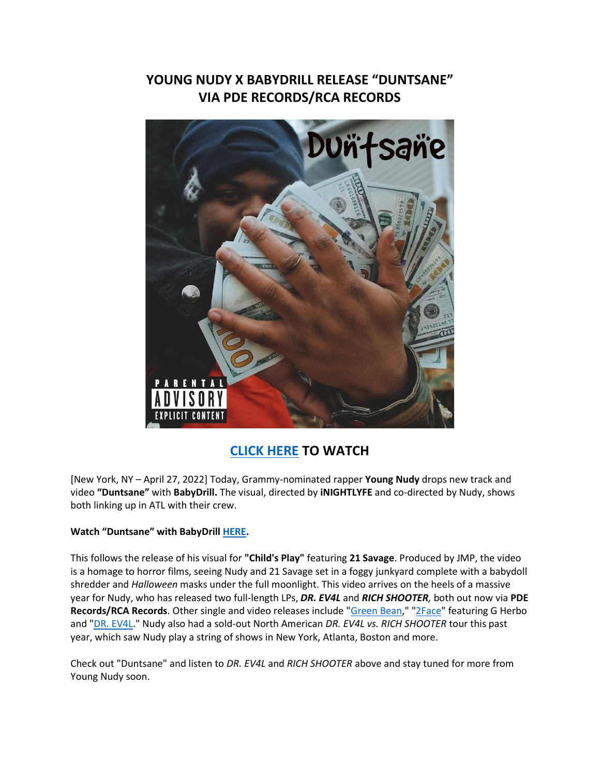## **YOUNG NUDY X BABYDRILL RELEASE "DUNTSANE" VIA PDE RECORDS/RCA RECORDS**



## **[CLICK HERE](https://eur01.safelinks.protection.outlook.com/?url=https%3A%2F%2Fwww.youtube.com%2Fwatch%3Fv%3Dyy1X6ThVNyM&data=05%7C01%7Cnoelle.janasiewicz.sme%40sonymusic.com%7C61af5075d1d749573d5908da2869fb0c%7Cf0aff3b791a54aaeaf71c63e1dda2049%7C0%7C0%7C637866732932903938%7CUnknown%7CTWFpbGZsb3d8eyJWIjoiMC4wLjAwMDAiLCJQIjoiV2luMzIiLCJBTiI6Ik1haWwiLCJXVCI6Mn0%3D%7C3000%7C%7C%7C&sdata=EsEpY9zRPyIbZKlCdt%2BRxG0xN1KWirf%2BOBtbOy6I7y4%3D&reserved=0) TO WATCH**

[New York, NY – April 27, 2022] Today, Grammy-nominated rapper **Young Nudy** drops new track and video **"Duntsane"** with **BabyDrill.** The visual, directed by **iNIGHTLYFE** and co-directed by Nudy, shows both linking up in ATL with their crew.

## **Watch "Duntsane" with BabyDrill [HERE.](https://eur01.safelinks.protection.outlook.com/?url=https%3A%2F%2Fwww.youtube.com%2Fwatch%3Fv%3Dyy1X6ThVNyM&data=05%7C01%7Cnoelle.janasiewicz.sme%40sonymusic.com%7C61af5075d1d749573d5908da2869fb0c%7Cf0aff3b791a54aaeaf71c63e1dda2049%7C0%7C0%7C637866732932903938%7CUnknown%7CTWFpbGZsb3d8eyJWIjoiMC4wLjAwMDAiLCJQIjoiV2luMzIiLCJBTiI6Ik1haWwiLCJXVCI6Mn0%3D%7C3000%7C%7C%7C&sdata=EsEpY9zRPyIbZKlCdt%2BRxG0xN1KWirf%2BOBtbOy6I7y4%3D&reserved=0)**

This follows the release of his visual for **"Child's Play"** featuring **21 Savage**. Produced by JMP, the video is a homage to horror films, seeing Nudy and 21 Savage set in a foggy junkyard complete with a babydoll shredder and *Halloween* masks under the full moonlight. This video arrives on the heels of a massive year for Nudy, who has released two full-length LPs, *DR. EV4L* and *RICH SHOOTER,* both out now via **PDE Records/RCA Records**. Other single and video releases include ["Green Bean,](https://eur01.safelinks.protection.outlook.com/?url=https%3A%2F%2Fyoutu.be%2F7HLQ15aP2JU&data=05%7C01%7Cnoelle.janasiewicz.sme%40sonymusic.com%7C61af5075d1d749573d5908da2869fb0c%7Cf0aff3b791a54aaeaf71c63e1dda2049%7C0%7C0%7C637866732932903938%7CUnknown%7CTWFpbGZsb3d8eyJWIjoiMC4wLjAwMDAiLCJQIjoiV2luMzIiLCJBTiI6Ik1haWwiLCJXVCI6Mn0%3D%7C3000%7C%7C%7C&sdata=dDPDnyAt%2F9fj6%2FFs3bqcPCTrWyQxxZQuhPvIUa1%2F5i4%3D&reserved=0)" ["2Face"](https://eur01.safelinks.protection.outlook.com/?url=https%3A%2F%2Fyoutu.be%2FTlpdIsYEcAg&data=05%7C01%7Cnoelle.janasiewicz.sme%40sonymusic.com%7C61af5075d1d749573d5908da2869fb0c%7Cf0aff3b791a54aaeaf71c63e1dda2049%7C0%7C0%7C637866732932903938%7CUnknown%7CTWFpbGZsb3d8eyJWIjoiMC4wLjAwMDAiLCJQIjoiV2luMzIiLCJBTiI6Ik1haWwiLCJXVCI6Mn0%3D%7C3000%7C%7C%7C&sdata=NkYuzbrgHx2klzqgQUcdsBaYgLJ8bpD3Qb2yneNjQO8%3D&reserved=0) featuring G Herbo and ["DR. EV4L.](https://eur01.safelinks.protection.outlook.com/?url=https%3A%2F%2Fyoutu.be%2FpqRqi-t2DGU&data=05%7C01%7Cnoelle.janasiewicz.sme%40sonymusic.com%7C61af5075d1d749573d5908da2869fb0c%7Cf0aff3b791a54aaeaf71c63e1dda2049%7C0%7C0%7C637866732933060180%7CUnknown%7CTWFpbGZsb3d8eyJWIjoiMC4wLjAwMDAiLCJQIjoiV2luMzIiLCJBTiI6Ik1haWwiLCJXVCI6Mn0%3D%7C3000%7C%7C%7C&sdata=xGw1NLAkZQuMIRexetHhaWihKRuAL0cVbSfx02x3HhA%3D&reserved=0)" Nudy also had a sold-out North American *DR. EV4L vs. RICH SHOOTER* tour this past year, which saw Nudy play a string of shows in New York, Atlanta, Boston and more.

Check out "Duntsane" and listen to *DR. EV4L* and *RICH SHOOTER* above and stay tuned for more from Young Nudy soon.